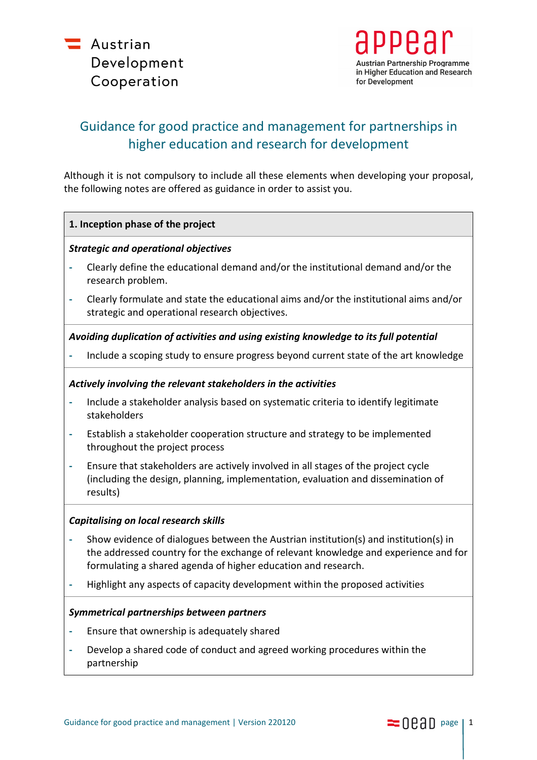



# Guidance for good practice and management for partnerships in higher education and research for development

Although it is not compulsory to include all these elements when developing your proposal, the following notes are offered as guidance in order to assist you.

## **1. Inception phase of the project**

## *Strategic and operational objectives*

- **-** Clearly define the educational demand and/or the institutional demand and/or the research problem.
- **-** Clearly formulate and state the educational aims and/or the institutional aims and/or strategic and operational research objectives.

# *Avoiding duplication of activities and using existing knowledge to its full potential*

**-** Include a scoping study to ensure progress beyond current state of the art knowledge

# *Actively involving the relevant stakeholders in the activities*

- **-** Include a stakeholder analysis based on systematic criteria to identify legitimate stakeholders
- **-** Establish a stakeholder cooperation structure and strategy to be implemented throughout the project process
- **-** Ensure that stakeholders are actively involved in all stages of the project cycle (including the design, planning, implementation, evaluation and dissemination of results)

# *Capitalising on local research skills*

- **-** Show evidence of dialogues between the Austrian institution(s) and institution(s) in the addressed country for the exchange of relevant knowledge and experience and for formulating a shared agenda of higher education and research.
- **-** Highlight any aspects of capacity development within the proposed activities

# *Symmetrical partnerships between partners*

- **-** Ensure that ownership is adequately shared
- **-** Develop a shared code of conduct and agreed working procedures within the partnership